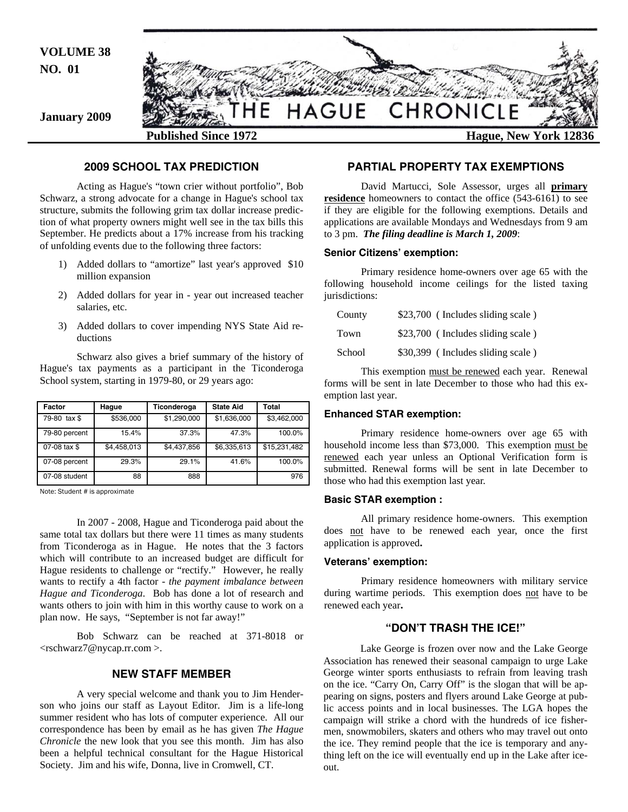

#### **2009 SCHOOL TAX PREDICTION**

 Acting as Hague's "town crier without portfolio", Bob Schwarz, a strong advocate for a change in Hague's school tax structure, submits the following grim tax dollar increase prediction of what property owners might well see in the tax bills this September. He predicts about a 17% increase from his tracking of unfolding events due to the following three factors:

- 1) Added dollars to "amortize" last year's approved \$10 million expansion
- 2) Added dollars for year in year out increased teacher salaries, etc.
- 3) Added dollars to cover impending NYS State Aid reductions

 Schwarz also gives a brief summary of the history of Hague's tax payments as a participant in the Ticonderoga School system, starting in 1979-80, or 29 years ago:

| Factor        | Hague       | Ticonderoga | <b>State Aid</b> | Total        |
|---------------|-------------|-------------|------------------|--------------|
| 79-80 tax \$  | \$536,000   | \$1,290,000 | \$1,636,000      | \$3,462,000  |
| 79-80 percent | 15.4%       | 37.3%       | 47.3%            | 100.0%       |
| 07-08 tax \$  | \$4,458,013 | \$4,437,856 | \$6,335,613      | \$15,231,482 |
| 07-08 percent | 29.3%       | 29.1%       | 41.6%            | 100.0%       |
| 07-08 student | 88          | 888         |                  | 976          |

Note: Student # is approximate

 In 2007 - 2008, Hague and Ticonderoga paid about the same total tax dollars but there were 11 times as many students from Ticonderoga as in Hague. He notes that the 3 factors which will contribute to an increased budget are difficult for Hague residents to challenge or "rectify." However, he really wants to rectify a 4th factor - *the payment imbalance between Hague and Ticonderoga*. Bob has done a lot of research and wants others to join with him in this worthy cause to work on a plan now. He says, "September is not far away!"

 Bob Schwarz can be reached at 371-8018 or <rschwarz7@nycap.rr.com >.

#### **NEW STAFF MEMBER**

A very special welcome and thank you to Jim Henderson who joins our staff as Layout Editor. Jim is a life-long summer resident who has lots of computer experience. All our correspondence has been by email as he has given *The Hague Chronicle* the new look that you see this month. Jim has also been a helpful technical consultant for the Hague Historical Society. Jim and his wife, Donna, live in Cromwell, CT.

#### **PARTIAL PROPERTY TAX EXEMPTIONS**

 David Martucci, Sole Assessor, urges all **primary residence** homeowners to contact the office (543-6161) to see if they are eligible for the following exemptions. Details and applications are available Mondays and Wednesdays from 9 am to 3 pm. *The filing deadline is March 1, 2009*:

#### **Senior Citizens' exemption:**

 Primary residence home-owners over age 65 with the following household income ceilings for the listed taxing jurisdictions:

| County | \$23,700 (Includes sliding scale) |
|--------|-----------------------------------|
| Town   | \$23,700 (Includes sliding scale) |
| School | \$30,399 (Includes sliding scale) |

 This exemption must be renewed each year. Renewal forms will be sent in late December to those who had this exemption last year.

#### **Enhanced STAR exemption:**

 Primary residence home-owners over age 65 with household income less than \$73,000. This exemption must be renewed each year unless an Optional Verification form is submitted. Renewal forms will be sent in late December to those who had this exemption last year.

#### **Basic STAR exemption :**

 All primary residence home-owners. This exemption does not have to be renewed each year, once the first application is approved**.** 

#### **Veterans' exemption:**

 Primary residence homeowners with military service during wartime periods. This exemption does not have to be renewed each year**.** 

#### **"DON'T TRASH THE ICE!"**

 Lake George is frozen over now and the Lake George Association has renewed their seasonal campaign to urge Lake George winter sports enthusiasts to refrain from leaving trash on the ice. "Carry On, Carry Off" is the slogan that will be appearing on signs, posters and flyers around Lake George at public access points and in local businesses. The LGA hopes the campaign will strike a chord with the hundreds of ice fishermen, snowmobilers, skaters and others who may travel out onto the ice. They remind people that the ice is temporary and anything left on the ice will eventually end up in the Lake after iceout.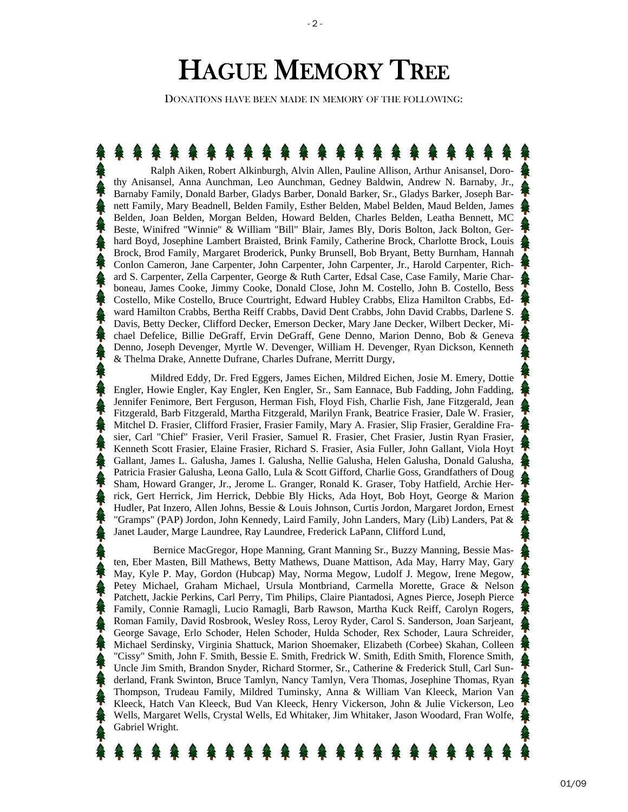# HAGUE MEMORY TREE

 $-2$  -

DONATIONS HAVE BEEN MADE IN MEMORY OF THE FOLLOWING:

 Ralph Aiken, Robert Alkinburgh, Alvin Allen, Pauline Allison, Arthur Anisansel, Dorothy Anisansel, Anna Aunchman, Leo Aunchman, Gedney Baldwin, Andrew N. Barnaby, Jr., Barnaby Family, Donald Barber, Gladys Barber, Donald Barker, Sr., Gladys Barker, Joseph Barnett Family, Mary Beadnell, Belden Family, Esther Belden, Mabel Belden, Maud Belden, James Belden, Joan Belden, Morgan Belden, Howard Belden, Charles Belden, Leatha Bennett, MC Beste, Winifred "Winnie" & William "Bill" Blair, James Bly, Doris Bolton, Jack Bolton, Gerhard Boyd, Josephine Lambert Braisted, Brink Family, Catherine Brock, Charlotte Brock, Louis Brock, Brod Family, Margaret Broderick, Punky Brunsell, Bob Bryant, Betty Burnham, Hannah Conlon Cameron, Jane Carpenter, John Carpenter, John Carpenter, Jr., Harold Carpenter, Richard S. Carpenter, Zella Carpenter, George & Ruth Carter, Edsal Case, Case Family, Marie Charboneau, James Cooke, Jimmy Cooke, Donald Close, John M. Costello, John B. Costello, Bess Costello, Mike Costello, Bruce Courtright, Edward Hubley Crabbs, Eliza Hamilton Crabbs, Edward Hamilton Crabbs, Bertha Reiff Crabbs, David Dent Crabbs, John David Crabbs, Darlene S. Davis, Betty Decker, Clifford Decker, Emerson Decker, Mary Jane Decker, Wilbert Decker, Michael Defelice, Billie DeGraff, Ervin DeGraff, Gene Denno, Marion Denno, Bob & Geneva Denno, Joseph Devenger, Myrtle W. Devenger, William H. Devenger, Ryan Dickson, Kenneth & Thelma Drake, Annette Dufrane, Charles Dufrane, Merritt Durgy,

 Mildred Eddy, Dr. Fred Eggers, James Eichen, Mildred Eichen, Josie M. Emery, Dottie Engler, Howie Engler, Kay Engler, Ken Engler, Sr., Sam Eannace, Bub Fadding, John Fadding, Jennifer Fenimore, Bert Ferguson, Herman Fish, Floyd Fish, Charlie Fish, Jane Fitzgerald, Jean Fitzgerald, Barb Fitzgerald, Martha Fitzgerald, Marilyn Frank, Beatrice Frasier, Dale W. Frasier, Mitchel D. Frasier, Clifford Frasier, Frasier Family, Mary A. Frasier, Slip Frasier, Geraldine Frasier, Carl "Chief" Frasier, Veril Frasier, Samuel R. Frasier, Chet Frasier, Justin Ryan Frasier, Kenneth Scott Frasier, Elaine Frasier, Richard S. Frasier, Asia Fuller, John Gallant, Viola Hoyt Gallant, James L. Galusha, James I. Galusha, Nellie Galusha, Helen Galusha, Donald Galusha, Patricia Frasier Galusha, Leona Gallo, Lula & Scott Gifford, Charlie Goss, Grandfathers of Doug Sham, Howard Granger, Jr., Jerome L. Granger, Ronald K. Graser, Toby Hatfield, Archie Herrick, Gert Herrick, Jim Herrick, Debbie Bly Hicks, Ada Hoyt, Bob Hoyt, George & Marion Hudler, Pat Inzero, Allen Johns, Bessie & Louis Johnson, Curtis Jordon, Margaret Jordon, Ernest "Gramps" (PAP) Jordon, John Kennedy, Laird Family, John Landers, Mary (Lib) Landers, Pat & Janet Lauder, Marge Laundree, Ray Laundree, Frederick LaPann, Clifford Lund,

 Bernice MacGregor, Hope Manning, Grant Manning Sr., Buzzy Manning, Bessie Masten, Eber Masten, Bill Mathews, Betty Mathews, Duane Mattison, Ada May, Harry May, Gary May, Kyle P. May, Gordon (Hubcap) May, Norma Megow, Ludolf J. Megow, Irene Megow, Petey Michael, Graham Michael, Ursula Montbriand, Carmella Morette, Grace & Nelson Patchett, Jackie Perkins, Carl Perry, Tim Philips, Claire Piantadosi, Agnes Pierce, Joseph Pierce Family, Connie Ramagli, Lucio Ramagli, Barb Rawson, Martha Kuck Reiff, Carolyn Rogers, Roman Family, David Rosbrook, Wesley Ross, Leroy Ryder, Carol S. Sanderson, Joan Sarjeant, George Savage, Erlo Schoder, Helen Schoder, Hulda Schoder, Rex Schoder, Laura Schreider, Michael Serdinsky, Virginia Shattuck, Marion Shoemaker, Elizabeth (Corbee) Skahan, Colleen "Cissy" Smith, John F. Smith, Bessie E. Smith, Fredrick W. Smith, Edith Smith, Florence Smith, Uncle Jim Smith, Brandon Snyder, Richard Stormer, Sr., Catherine & Frederick Stull, Carl Sunderland, Frank Swinton, Bruce Tamlyn, Nancy Tamlyn, Vera Thomas, Josephine Thomas, Ryan Thompson, Trudeau Family, Mildred Tuminsky, Anna & William Van Kleeck, Marion Van Kleeck, Hatch Van Kleeck, Bud Van Kleeck, Henry Vickerson, John & Julie Vickerson, Leo Wells, Margaret Wells, Crystal Wells, Ed Whitaker, Jim Whitaker, Jason Woodard, Fran Wolfe, Gabriel Wright.

## \* \* \* \* \* \* \* \* \*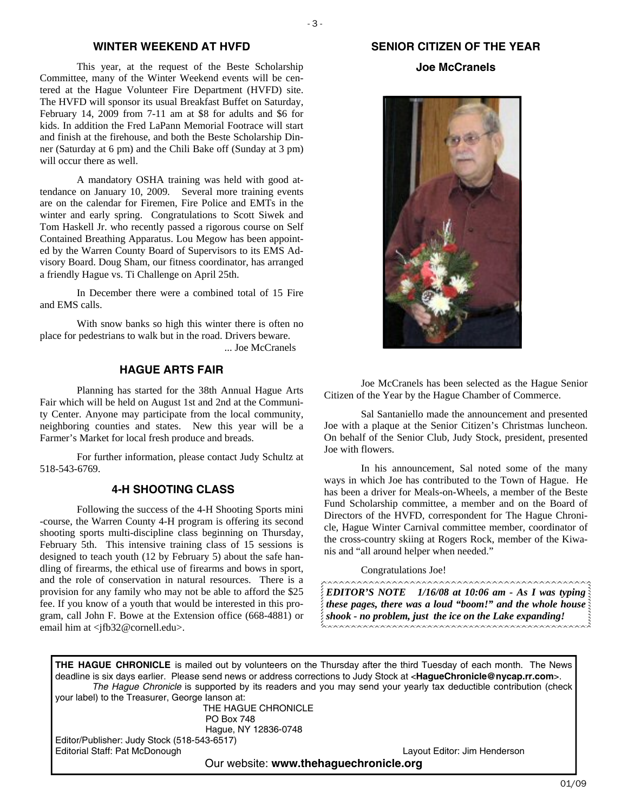#### **WINTER WEEKEND AT HVFD**

This year, at the request of the Beste Scholarship Committee, many of the Winter Weekend events will be centered at the Hague Volunteer Fire Department (HVFD) site. The HVFD will sponsor its usual Breakfast Buffet on Saturday, February 14, 2009 from 7-11 am at \$8 for adults and \$6 for kids. In addition the Fred LaPann Memorial Footrace will start and finish at the firehouse, and both the Beste Scholarship Dinner (Saturday at 6 pm) and the Chili Bake off (Sunday at 3 pm) will occur there as well.

 A mandatory OSHA training was held with good attendance on January 10, 2009. Several more training events are on the calendar for Firemen, Fire Police and EMTs in the winter and early spring. Congratulations to Scott Siwek and Tom Haskell Jr. who recently passed a rigorous course on Self Contained Breathing Apparatus. Lou Megow has been appointed by the Warren County Board of Supervisors to its EMS Advisory Board. Doug Sham, our fitness coordinator, has arranged a friendly Hague vs. Ti Challenge on April 25th.

 In December there were a combined total of 15 Fire and EMS calls.

 With snow banks so high this winter there is often no place for pedestrians to walk but in the road. Drivers beware. ... Joe McCranels

#### **HAGUE ARTS FAIR**

 Planning has started for the 38th Annual Hague Arts Fair which will be held on August 1st and 2nd at the Community Center. Anyone may participate from the local community, neighboring counties and states. New this year will be a Farmer's Market for local fresh produce and breads.

 For further information, please contact Judy Schultz at 518-543-6769.

#### **4-H SHOOTING CLASS**

Following the success of the 4-H Shooting Sports mini -course, the Warren County 4-H program is offering its second shooting sports multi-discipline class beginning on Thursday, February 5th. This intensive training class of 15 sessions is designed to teach youth (12 by February 5) about the safe handling of firearms, the ethical use of firearms and bows in sport, and the role of conservation in natural resources. There is a provision for any family who may not be able to afford the \$25 fee. If you know of a youth that would be interested in this program, call John F. Bowe at the Extension office (668-4881) or email him at <ifb32@cornell.edu>.

## **SENIOR CITIZEN OF THE YEAR**

#### **Joe McCranels**



 Joe McCranels has been selected as the Hague Senior Citizen of the Year by the Hague Chamber of Commerce.

 Sal Santaniello made the announcement and presented Joe with a plaque at the Senior Citizen's Christmas luncheon. On behalf of the Senior Club, Judy Stock, president, presented Joe with flowers.

 In his announcement, Sal noted some of the many ways in which Joe has contributed to the Town of Hague. He has been a driver for Meals-on-Wheels, a member of the Beste Fund Scholarship committee, a member and on the Board of Directors of the HVFD, correspondent for The Hague Chronicle, Hague Winter Carnival committee member, coordinator of the cross-country skiing at Rogers Rock, member of the Kiwanis and "all around helper when needed."

Congratulations Joe!

*EDITOR'S NOTE 1/16/08 at 10:06 am - As I was typing these pages, there was a loud "boom!" and the whole house shook - no problem, just the ice on the Lake expanding!* 

**THE HAGUE CHRONICLE** is mailed out by volunteers on the Thursday after the third Tuesday of each month. The News deadline is six days earlier. Please send news or address corrections to Judy Stock at <**HagueChronicle@nycap.rr.com**>. *The Hague Chronicle* is supported by its readers and you may send your yearly tax deductible contribution (check your label) to the Treasurer, George Ianson at: THE HAGUE CHRONICLE PO Box 748

 Hague, NY 12836-0748 Editor/Publisher: Judy Stock (518-543-6517) Editorial Staff: Pat McDonough Layout Editor: Jim Henderson

Our website: **www.thehaguechronicle.org**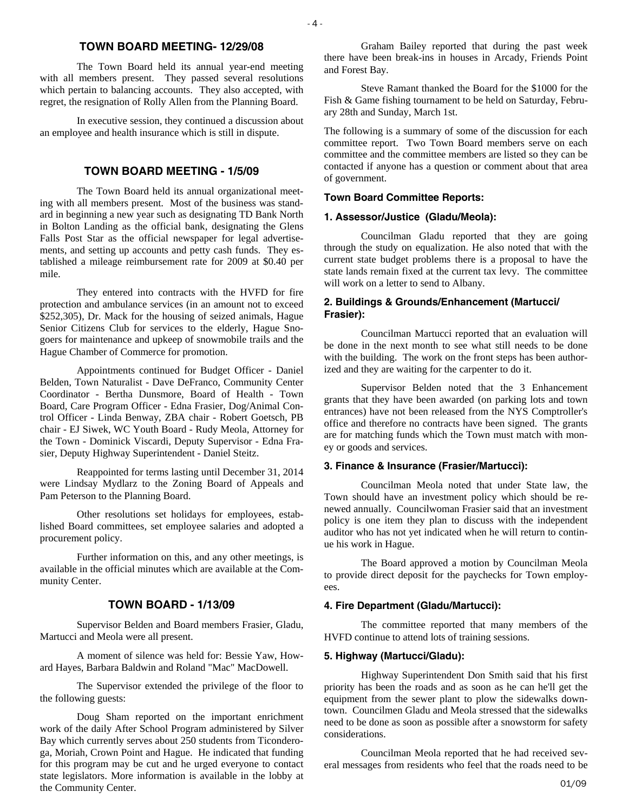#### **TOWN BOARD MEETING- 12/29/08**

The Town Board held its annual year-end meeting with all members present. They passed several resolutions which pertain to balancing accounts. They also accepted, with regret, the resignation of Rolly Allen from the Planning Board.

 In executive session, they continued a discussion about an employee and health insurance which is still in dispute.

#### **TOWN BOARD MEETING - 1/5/09**

 The Town Board held its annual organizational meeting with all members present. Most of the business was standard in beginning a new year such as designating TD Bank North in Bolton Landing as the official bank, designating the Glens Falls Post Star as the official newspaper for legal advertisements, and setting up accounts and petty cash funds. They established a mileage reimbursement rate for 2009 at \$0.40 per mile.

 They entered into contracts with the HVFD for fire protection and ambulance services (in an amount not to exceed \$252,305), Dr. Mack for the housing of seized animals, Hague Senior Citizens Club for services to the elderly, Hague Snogoers for maintenance and upkeep of snowmobile trails and the Hague Chamber of Commerce for promotion.

 Appointments continued for Budget Officer - Daniel Belden, Town Naturalist - Dave DeFranco, Community Center Coordinator - Bertha Dunsmore, Board of Health - Town Board, Care Program Officer - Edna Frasier, Dog/Animal Control Officer - Linda Benway, ZBA chair - Robert Goetsch, PB chair - EJ Siwek, WC Youth Board - Rudy Meola, Attorney for the Town - Dominick Viscardi, Deputy Supervisor - Edna Frasier, Deputy Highway Superintendent - Daniel Steitz.

 Reappointed for terms lasting until December 31, 2014 were Lindsay Mydlarz to the Zoning Board of Appeals and Pam Peterson to the Planning Board.

 Other resolutions set holidays for employees, established Board committees, set employee salaries and adopted a procurement policy.

 Further information on this, and any other meetings, is available in the official minutes which are available at the Community Center.

#### **TOWN BOARD - 1/13/09**

Supervisor Belden and Board members Frasier, Gladu, Martucci and Meola were all present.

 A moment of silence was held for: Bessie Yaw, Howard Hayes, Barbara Baldwin and Roland "Mac" MacDowell.

 The Supervisor extended the privilege of the floor to the following guests:

the Community Center. 01/09 Doug Sham reported on the important enrichment work of the daily After School Program administered by Silver Bay which currently serves about 250 students from Ticonderoga, Moriah, Crown Point and Hague. He indicated that funding for this program may be cut and he urged everyone to contact state legislators. More information is available in the lobby at

 Graham Bailey reported that during the past week there have been break-ins in houses in Arcady, Friends Point and Forest Bay.

 Steve Ramant thanked the Board for the \$1000 for the Fish & Game fishing tournament to be held on Saturday, February 28th and Sunday, March 1st.

The following is a summary of some of the discussion for each committee report. Two Town Board members serve on each committee and the committee members are listed so they can be contacted if anyone has a question or comment about that area of government.

#### **Town Board Committee Reports:**

#### **1. Assessor/Justice (Gladu/Meola):**

 Councilman Gladu reported that they are going through the study on equalization. He also noted that with the current state budget problems there is a proposal to have the state lands remain fixed at the current tax levy. The committee will work on a letter to send to Albany.

#### **2. Buildings & Grounds/Enhancement (Martucci/ Frasier):**

 Councilman Martucci reported that an evaluation will be done in the next month to see what still needs to be done with the building. The work on the front steps has been authorized and they are waiting for the carpenter to do it.

Supervisor Belden noted that the 3 Enhancement grants that they have been awarded (on parking lots and town entrances) have not been released from the NYS Comptroller's office and therefore no contracts have been signed. The grants are for matching funds which the Town must match with money or goods and services.

#### **3. Finance & Insurance (Frasier/Martucci):**

Councilman Meola noted that under State law, the Town should have an investment policy which should be renewed annually. Councilwoman Frasier said that an investment policy is one item they plan to discuss with the independent auditor who has not yet indicated when he will return to continue his work in Hague.

 The Board approved a motion by Councilman Meola to provide direct deposit for the paychecks for Town employees.

#### **4. Fire Department (Gladu/Martucci):**

 The committee reported that many members of the HVFD continue to attend lots of training sessions.

#### **5. Highway (Martucci/Gladu):**

 Highway Superintendent Don Smith said that his first priority has been the roads and as soon as he can he'll get the equipment from the sewer plant to plow the sidewalks downtown. Councilmen Gladu and Meola stressed that the sidewalks need to be done as soon as possible after a snowstorm for safety considerations.

 Councilman Meola reported that he had received several messages from residents who feel that the roads need to be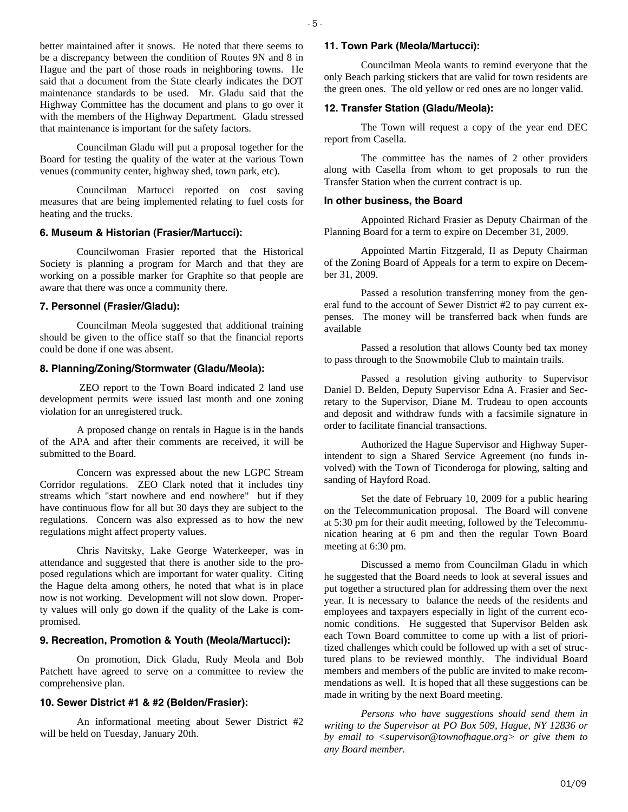better maintained after it snows. He noted that there seems to be a discrepancy between the condition of Routes 9N and 8 in Hague and the part of those roads in neighboring towns. He said that a document from the State clearly indicates the DOT maintenance standards to be used. Mr. Gladu said that the Highway Committee has the document and plans to go over it with the members of the Highway Department. Gladu stressed that maintenance is important for the safety factors.

 Councilman Gladu will put a proposal together for the Board for testing the quality of the water at the various Town venues (community center, highway shed, town park, etc).

 Councilman Martucci reported on cost saving measures that are being implemented relating to fuel costs for heating and the trucks.

#### **6. Museum & Historian (Frasier/Martucci):**

 Councilwoman Frasier reported that the Historical Society is planning a program for March and that they are working on a possible marker for Graphite so that people are aware that there was once a community there.

#### **7. Personnel (Frasier/Gladu):**

 Councilman Meola suggested that additional training should be given to the office staff so that the financial reports could be done if one was absent.

#### **8. Planning/Zoning/Stormwater (Gladu/Meola):**

 ZEO report to the Town Board indicated 2 land use development permits were issued last month and one zoning violation for an unregistered truck.

 A proposed change on rentals in Hague is in the hands of the APA and after their comments are received, it will be submitted to the Board.

 Concern was expressed about the new LGPC Stream Corridor regulations. ZEO Clark noted that it includes tiny streams which "start nowhere and end nowhere" but if they have continuous flow for all but 30 days they are subject to the regulations. Concern was also expressed as to how the new regulations might affect property values.

 Chris Navitsky, Lake George Waterkeeper, was in attendance and suggested that there is another side to the proposed regulations which are important for water quality. Citing the Hague delta among others, he noted that what is in place now is not working. Development will not slow down. Property values will only go down if the quality of the Lake is compromised.

#### **9. Recreation, Promotion & Youth (Meola/Martucci):**

 On promotion, Dick Gladu, Rudy Meola and Bob Patchett have agreed to serve on a committee to review the comprehensive plan.

#### **10. Sewer District #1 & #2 (Belden/Frasier):**

 An informational meeting about Sewer District #2 will be held on Tuesday, January 20th.

#### **11. Town Park (Meola/Martucci):**

 Councilman Meola wants to remind everyone that the only Beach parking stickers that are valid for town residents are the green ones. The old yellow or red ones are no longer valid.

#### **12. Transfer Station (Gladu/Meola):**

 The Town will request a copy of the year end DEC report from Casella.

 The committee has the names of 2 other providers along with Casella from whom to get proposals to run the Transfer Station when the current contract is up.

#### **In other business, the Board**

 Appointed Richard Frasier as Deputy Chairman of the Planning Board for a term to expire on December 31, 2009.

 Appointed Martin Fitzgerald, II as Deputy Chairman of the Zoning Board of Appeals for a term to expire on December 31, 2009.

 Passed a resolution transferring money from the general fund to the account of Sewer District #2 to pay current expenses. The money will be transferred back when funds are available

 Passed a resolution that allows County bed tax money to pass through to the Snowmobile Club to maintain trails.

 Passed a resolution giving authority to Supervisor Daniel D. Belden, Deputy Supervisor Edna A. Frasier and Secretary to the Supervisor, Diane M. Trudeau to open accounts and deposit and withdraw funds with a facsimile signature in order to facilitate financial transactions.

 Authorized the Hague Supervisor and Highway Superintendent to sign a Shared Service Agreement (no funds involved) with the Town of Ticonderoga for plowing, salting and sanding of Hayford Road.

 Set the date of February 10, 2009 for a public hearing on the Telecommunication proposal. The Board will convene at 5:30 pm for their audit meeting, followed by the Telecommunication hearing at 6 pm and then the regular Town Board meeting at 6:30 pm.

 Discussed a memo from Councilman Gladu in which he suggested that the Board needs to look at several issues and put together a structured plan for addressing them over the next year. It is necessary to balance the needs of the residents and employees and taxpayers especially in light of the current economic conditions. He suggested that Supervisor Belden ask each Town Board committee to come up with a list of prioritized challenges which could be followed up with a set of structured plans to be reviewed monthly. The individual Board members and members of the public are invited to make recommendations as well. It is hoped that all these suggestions can be made in writing by the next Board meeting.

*Persons who have suggestions should send them in writing to the Supervisor at PO Box 509, Hague, NY 12836 or by email to <supervisor@townofhague.org> or give them to any Board member.*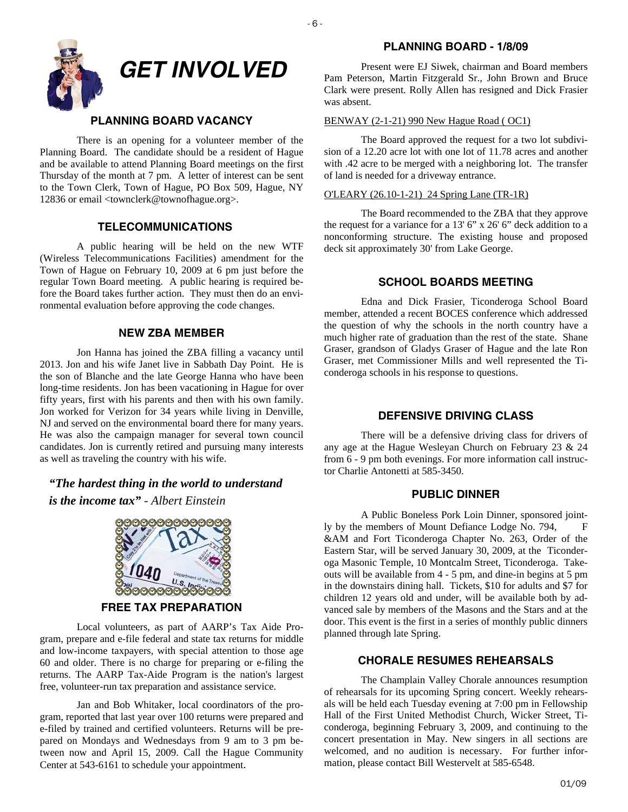

#### **PLANNING BOARD VACANCY**

There is an opening for a volunteer member of the Planning Board. The candidate should be a resident of Hague and be available to attend Planning Board meetings on the first Thursday of the month at 7 pm. A letter of interest can be sent to the Town Clerk, Town of Hague, PO Box 509, Hague, NY 12836 or email <townclerk@townofhague.org>.

#### **TELECOMMUNICATIONS**

A public hearing will be held on the new WTF (Wireless Telecommunications Facilities) amendment for the Town of Hague on February 10, 2009 at 6 pm just before the regular Town Board meeting. A public hearing is required before the Board takes further action. They must then do an environmental evaluation before approving the code changes.

#### **NEW ZBA MEMBER**

Jon Hanna has joined the ZBA filling a vacancy until 2013. Jon and his wife Janet live in Sabbath Day Point. He is the son of Blanche and the late George Hanna who have been long-time residents. Jon has been vacationing in Hague for over fifty years, first with his parents and then with his own family. Jon worked for Verizon for 34 years while living in Denville, NJ and served on the environmental board there for many years. He was also the campaign manager for several town council candidates. Jon is currently retired and pursuing many interests as well as traveling the country with his wife.

*"The hardest thing in the world to understand is the income tax"* - *Albert Einstein*



Local volunteers, as part of AARP's Tax Aide Program, prepare and e-file federal and state tax returns for middle and low-income taxpayers, with special attention to those age 60 and older. There is no charge for preparing or e-filing the returns. The AARP Tax-Aide Program is the nation's largest free, volunteer-run tax preparation and assistance service.

 Jan and Bob Whitaker, local coordinators of the program, reported that last year over 100 returns were prepared and e-filed by trained and certified volunteers. Returns will be prepared on Mondays and Wednesdays from 9 am to 3 pm between now and April 15, 2009. Call the Hague Community Center at 543-6161 to schedule your appointment.

#### **PLANNING BOARD - 1/8/09**

Present were EJ Siwek, chairman and Board members Pam Peterson, Martin Fitzgerald Sr., John Brown and Bruce Clark were present. Rolly Allen has resigned and Dick Frasier was absent.

#### BENWAY (2-1-21) 990 New Hague Road ( OC1)

 The Board approved the request for a two lot subdivision of a 12.20 acre lot with one lot of 11.78 acres and another with .42 acre to be merged with a neighboring lot. The transfer of land is needed for a driveway entrance.

#### O'LEARY (26.10-1-21) 24 Spring Lane (TR-1R)

 The Board recommended to the ZBA that they approve the request for a variance for a 13' 6" x 26' 6" deck addition to a nonconforming structure. The existing house and proposed deck sit approximately 30' from Lake George.

#### **SCHOOL BOARDS MEETING**

Edna and Dick Frasier, Ticonderoga School Board member, attended a recent BOCES conference which addressed the question of why the schools in the north country have a much higher rate of graduation than the rest of the state. Shane Graser, grandson of Gladys Graser of Hague and the late Ron Graser, met Commissioner Mills and well represented the Ticonderoga schools in his response to questions.

#### **DEFENSIVE DRIVING CLASS**

There will be a defensive driving class for drivers of any age at the Hague Wesleyan Church on February 23 & 24 from 6 - 9 pm both evenings. For more information call instructor Charlie Antonetti at 585-3450.

#### **PUBLIC DINNER**

 A Public Boneless Pork Loin Dinner, sponsored jointly by the members of Mount Defiance Lodge No. 794, F &AM and Fort Ticonderoga Chapter No. 263, Order of the Eastern Star, will be served January 30, 2009, at the Ticonderoga Masonic Temple, 10 Montcalm Street, Ticonderoga. Takeouts will be available from 4 - 5 pm, and dine-in begins at 5 pm in the downstairs dining hall. Tickets, \$10 for adults and \$7 for children 12 years old and under, will be available both by advanced sale by members of the Masons and the Stars and at the door. This event is the first in a series of monthly public dinners planned through late Spring.

#### **CHORALE RESUMES REHEARSALS**

The Champlain Valley Chorale announces resumption of rehearsals for its upcoming Spring concert. Weekly rehearsals will be held each Tuesday evening at 7:00 pm in Fellowship Hall of the First United Methodist Church, Wicker Street, Ticonderoga, beginning February 3, 2009, and continuing to the concert presentation in May. New singers in all sections are welcomed, and no audition is necessary. For further information, please contact Bill Westervelt at 585-6548.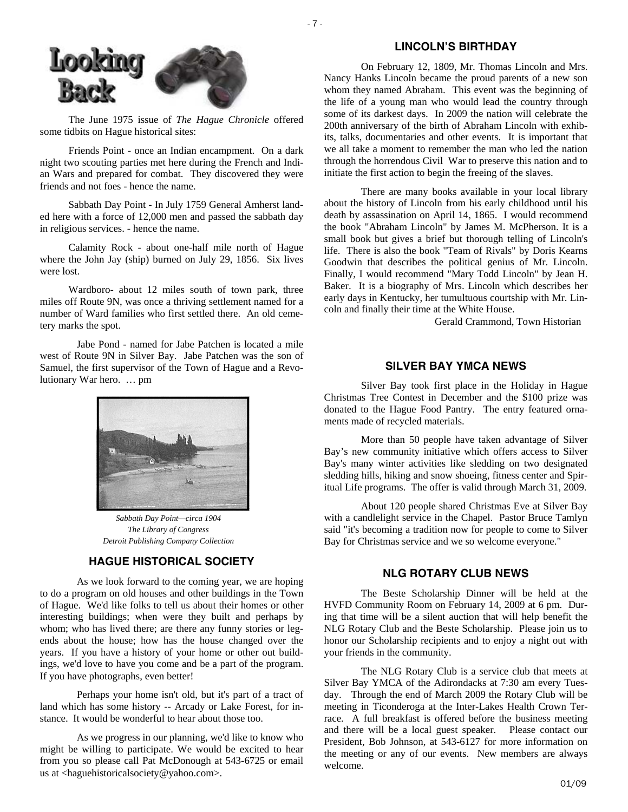



 The June 1975 issue of *The Hague Chronicle* offered some tidbits on Hague historical sites:

 Friends Point - once an Indian encampment. On a dark night two scouting parties met here during the French and Indian Wars and prepared for combat. They discovered they were friends and not foes - hence the name.

 Sabbath Day Point - In July 1759 General Amherst landed here with a force of 12,000 men and passed the sabbath day in religious services. - hence the name.

 Calamity Rock - about one-half mile north of Hague where the John Jay (ship) burned on July 29, 1856. Six lives were lost.

 Wardboro- about 12 miles south of town park, three miles off Route 9N, was once a thriving settlement named for a number of Ward families who first settled there. An old cemetery marks the spot.

 Jabe Pond - named for Jabe Patchen is located a mile west of Route 9N in Silver Bay. Jabe Patchen was the son of Samuel, the first supervisor of the Town of Hague and a Revolutionary War hero. … pm



*Sabbath Day Point—circa 1904 The Library of Congress Detroit Publishing Company Collection* 

#### **HAGUE HISTORICAL SOCIETY**

 As we look forward to the coming year, we are hoping to do a program on old houses and other buildings in the Town of Hague. We'd like folks to tell us about their homes or other interesting buildings; when were they built and perhaps by whom; who has lived there; are there any funny stories or legends about the house; how has the house changed over the years. If you have a history of your home or other out buildings, we'd love to have you come and be a part of the program. If you have photographs, even better!

 Perhaps your home isn't old, but it's part of a tract of land which has some history -- Arcady or Lake Forest, for instance. It would be wonderful to hear about those too.

 As we progress in our planning, we'd like to know who might be willing to participate. We would be excited to hear from you so please call Pat McDonough at 543-6725 or email us at <haguehistoricalsociety@yahoo.com>.

#### **LINCOLN'S BIRTHDAY**

On February 12, 1809, Mr. Thomas Lincoln and Mrs. Nancy Hanks Lincoln became the proud parents of a new son whom they named Abraham. This event was the beginning of the life of a young man who would lead the country through some of its darkest days. In 2009 the nation will celebrate the 200th anniversary of the birth of Abraham Lincoln with exhibits, talks, documentaries and other events. It is important that we all take a moment to remember the man who led the nation through the horrendous Civil War to preserve this nation and to initiate the first action to begin the freeing of the slaves.

 There are many books available in your local library about the history of Lincoln from his early childhood until his death by assassination on April 14, 1865. I would recommend the book "Abraham Lincoln" by James M. McPherson. It is a small book but gives a brief but thorough telling of Lincoln's life. There is also the book "Team of Rivals" by Doris Kearns Goodwin that describes the political genius of Mr. Lincoln. Finally, I would recommend "Mary Todd Lincoln" by Jean H. Baker. It is a biography of Mrs. Lincoln which describes her early days in Kentucky, her tumultuous courtship with Mr. Lincoln and finally their time at the White House.

Gerald Crammond, Town Historian

#### **SILVER BAY YMCA NEWS**

Silver Bay took first place in the Holiday in Hague Christmas Tree Contest in December and the \$100 prize was donated to the Hague Food Pantry. The entry featured ornaments made of recycled materials.

 More than 50 people have taken advantage of Silver Bay's new community initiative which offers access to Silver Bay's many winter activities like sledding on two designated sledding hills, hiking and snow shoeing, fitness center and Spiritual Life programs. The offer is valid through March 31, 2009.

About 120 people shared Christmas Eve at Silver Bay with a candlelight service in the Chapel. Pastor Bruce Tamlyn said "it's becoming a tradition now for people to come to Silver Bay for Christmas service and we so welcome everyone."

#### **NLG ROTARY CLUB NEWS**

The Beste Scholarship Dinner will be held at the HVFD Community Room on February 14, 2009 at 6 pm. During that time will be a silent auction that will help benefit the NLG Rotary Club and the Beste Scholarship. Please join us to honor our Scholarship recipients and to enjoy a night out with your friends in the community.

 The NLG Rotary Club is a service club that meets at Silver Bay YMCA of the Adirondacks at 7:30 am every Tuesday. Through the end of March 2009 the Rotary Club will be meeting in Ticonderoga at the Inter-Lakes Health Crown Terrace. A full breakfast is offered before the business meeting and there will be a local guest speaker. Please contact our President, Bob Johnson, at 543-6127 for more information on the meeting or any of our events. New members are always welcome.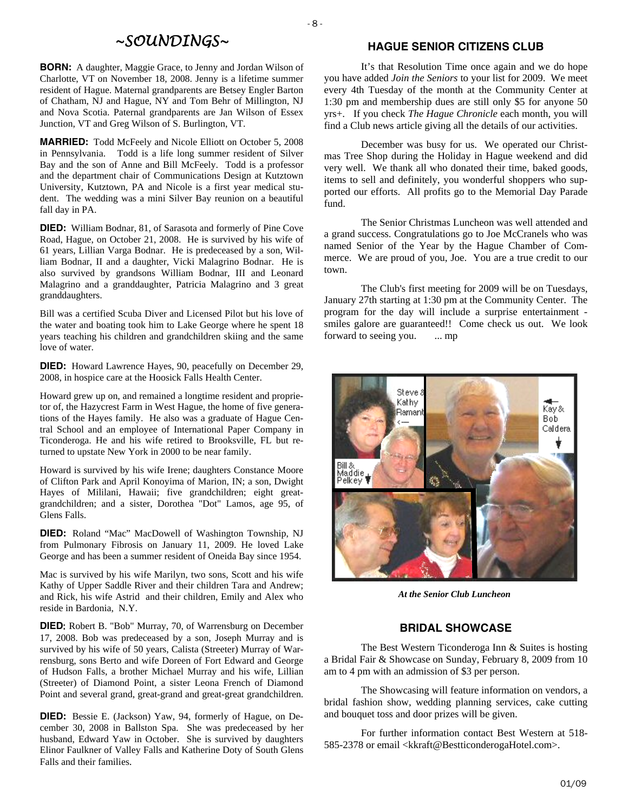## *~SOUNDINGS~*

**BORN:** A daughter, Maggie Grace, to Jenny and Jordan Wilson of Charlotte, VT on November 18, 2008. Jenny is a lifetime summer resident of Hague. Maternal grandparents are Betsey Engler Barton of Chatham, NJ and Hague, NY and Tom Behr of Millington, NJ and Nova Scotia. Paternal grandparents are Jan Wilson of Essex Junction, VT and Greg Wilson of S. Burlington, VT.

**MARRIED:** Todd McFeely and Nicole Elliott on October 5, 2008 in Pennsylvania. Todd is a life long summer resident of Silver Bay and the son of Anne and Bill McFeely. Todd is a professor and the department chair of Communications Design at Kutztown University, Kutztown, PA and Nicole is a first year medical student. The wedding was a mini Silver Bay reunion on a beautiful fall day in PA.

**DIED:** William Bodnar, 81, of Sarasota and formerly of Pine Cove Road, Hague, on October 21, 2008. He is survived by his wife of 61 years, Lillian Varga Bodnar. He is predeceased by a son, William Bodnar, II and a daughter, Vicki Malagrino Bodnar. He is also survived by grandsons William Bodnar, III and Leonard Malagrino and a granddaughter, Patricia Malagrino and 3 great granddaughters.

Bill was a certified Scuba Diver and Licensed Pilot but his love of the water and boating took him to Lake George where he spent 18 years teaching his children and grandchildren skiing and the same love of water.

**DIED:** Howard Lawrence Hayes, 90, peacefully on December 29, 2008, in hospice care at the Hoosick Falls Health Center.

Howard grew up on, and remained a longtime resident and proprietor of, the Hazycrest Farm in West Hague, the home of five generations of the Hayes family. He also was a graduate of Hague Central School and an employee of International Paper Company in Ticonderoga. He and his wife retired to Brooksville, FL but returned to upstate New York in 2000 to be near family.

Howard is survived by his wife Irene; daughters Constance Moore of Clifton Park and April Konoyima of Marion, IN; a son, Dwight Hayes of Mililani, Hawaii; five grandchildren; eight greatgrandchildren; and a sister, Dorothea "Dot" Lamos, age 95, of Glens Falls.

**DIED:** Roland "Mac" MacDowell of Washington Township, NJ from Pulmonary Fibrosis on January 11, 2009. He loved Lake George and has been a summer resident of Oneida Bay since 1954.

Mac is survived by his wife Marilyn, two sons, Scott and his wife Kathy of Upper Saddle River and their children Tara and Andrew; and Rick, his wife Astrid and their children, Emily and Alex who reside in Bardonia, N.Y.

**DIED**: Robert B. "Bob" Murray, 70, of Warrensburg on December 17, 2008. Bob was predeceased by a son, Joseph Murray and is survived by his wife of 50 years, Calista (Streeter) Murray of Warrensburg, sons Berto and wife Doreen of Fort Edward and George of Hudson Falls, a brother Michael Murray and his wife, Lillian (Streeter) of Diamond Point, a sister Leona French of Diamond Point and several grand, great-grand and great-great grandchildren.

**DIED:** Bessie E. (Jackson) Yaw, 94, formerly of Hague, on December 30, 2008 in Ballston Spa. She was predeceased by her husband, Edward Yaw in October. She is survived by daughters Elinor Faulkner of Valley Falls and Katherine Doty of South Glens Falls and their families.

#### **HAGUE SENIOR CITIZENS CLUB**

 It's that Resolution Time once again and we do hope you have added *Join the Seniors* to your list for 2009. We meet every 4th Tuesday of the month at the Community Center at 1:30 pm and membership dues are still only \$5 for anyone 50 yrs+. If you check *The Hague Chronicle* each month, you will find a Club news article giving all the details of our activities.

 December was busy for us. We operated our Christmas Tree Shop during the Holiday in Hague weekend and did very well. We thank all who donated their time, baked goods, items to sell and definitely, you wonderful shoppers who supported our efforts. All profits go to the Memorial Day Parade fund.

 The Senior Christmas Luncheon was well attended and a grand success. Congratulations go to Joe McCranels who was named Senior of the Year by the Hague Chamber of Commerce. We are proud of you, Joe. You are a true credit to our town.

 The Club's first meeting for 2009 will be on Tuesdays, January 27th starting at 1:30 pm at the Community Center. The program for the day will include a surprise entertainment smiles galore are guaranteed!! Come check us out. We look forward to seeing you. ... mp



*At the Senior Club Luncheon* 

#### **BRIDAL SHOWCASE**

The Best Western Ticonderoga Inn & Suites is hosting a Bridal Fair & Showcase on Sunday, February 8, 2009 from 10 am to 4 pm with an admission of \$3 per person.

 The Showcasing will feature information on vendors, a bridal fashion show, wedding planning services, cake cutting and bouquet toss and door prizes will be given.

 For further information contact Best Western at 518- 585-2378 or email <kkraft@BestticonderogaHotel.com>.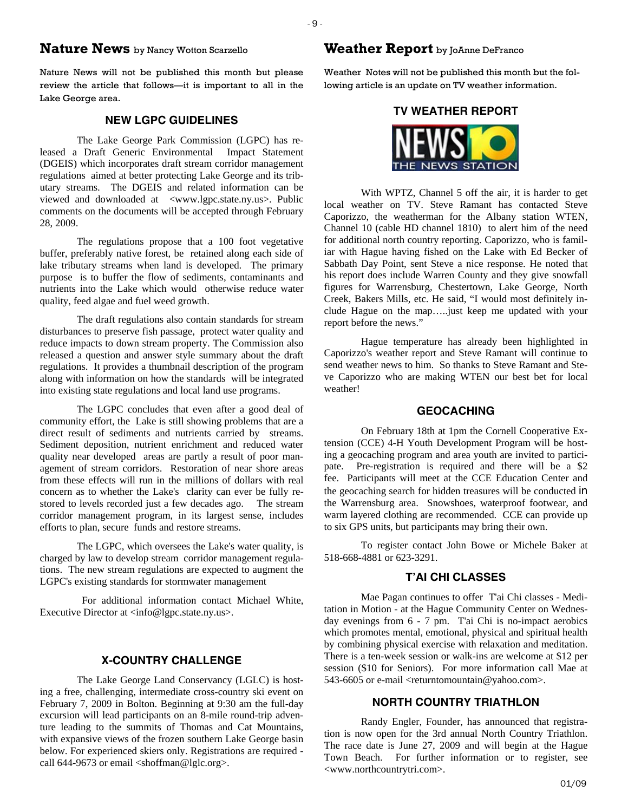## **Nature News** by Nancy Wotton Scarzello

Nature News will not be published this month but please review the article that follows—it is important to all in the Lake George area.

#### **NEW LGPC GUIDELINES**

The Lake George Park Commission (LGPC) has released a Draft Generic Environmental Impact Statement (DGEIS) which incorporates draft stream corridor management regulations aimed at better protecting Lake George and its tributary streams. The DGEIS and related information can be viewed and downloaded at <www.lgpc.state.ny.us>. Public comments on the documents will be accepted through February 28, 2009.

 The regulations propose that a 100 foot vegetative buffer, preferably native forest, be retained along each side of lake tributary streams when land is developed. The primary purpose is to buffer the flow of sediments, contaminants and nutrients into the Lake which would otherwise reduce water quality, feed algae and fuel weed growth.

 The draft regulations also contain standards for stream disturbances to preserve fish passage, protect water quality and reduce impacts to down stream property. The Commission also released a question and answer style summary about the draft regulations. It provides a thumbnail description of the program along with information on how the standards will be integrated into existing state regulations and local land use programs.

 The LGPC concludes that even after a good deal of community effort, the Lake is still showing problems that are a direct result of sediments and nutrients carried by streams. Sediment deposition, nutrient enrichment and reduced water quality near developed areas are partly a result of poor management of stream corridors. Restoration of near shore areas from these effects will run in the millions of dollars with real concern as to whether the Lake's clarity can ever be fully restored to levels recorded just a few decades ago. The stream corridor management program, in its largest sense, includes efforts to plan, secure funds and restore streams.

 The LGPC, which oversees the Lake's water quality, is charged by law to develop stream corridor management regulations. The new stream regulations are expected to augment the LGPC's existing standards for stormwater management

 For additional information contact Michael White, Executive Director at <info@lgpc.state.ny.us>.

#### **X-COUNTRY CHALLENGE**

The Lake George Land Conservancy (LGLC) is hosting a free, challenging, intermediate cross-country ski event on February 7, 2009 in Bolton. Beginning at 9:30 am the full-day excursion will lead participants on an 8-mile round-trip adventure leading to the summits of Thomas and Cat Mountains, with expansive views of the frozen southern Lake George basin below. For experienced skiers only. Registrations are required call 644-9673 or email <shoffman@lglc.org>.

## **Weather Report** by JoAnne DeFranco

Weather Notes will not be published this month but the following article is an update on TV weather information.

#### **TV WEATHER REPORT**



With WPTZ, Channel 5 off the air, it is harder to get local weather on TV. Steve Ramant has contacted Steve Caporizzo, the weatherman for the Albany station WTEN, Channel 10 (cable HD channel 1810) to alert him of the need for additional north country reporting. Caporizzo, who is familiar with Hague having fished on the Lake with Ed Becker of Sabbath Day Point, sent Steve a nice response. He noted that his report does include Warren County and they give snowfall figures for Warrensburg, Chestertown, Lake George, North Creek, Bakers Mills, etc. He said, "I would most definitely include Hague on the map…..just keep me updated with your report before the news."

 Hague temperature has already been highlighted in Caporizzo's weather report and Steve Ramant will continue to send weather news to him. So thanks to Steve Ramant and Steve Caporizzo who are making WTEN our best bet for local weather!

#### **GEOCACHING**

On February 18th at 1pm the Cornell Cooperative Extension (CCE) 4-H Youth Development Program will be hosting a geocaching program and area youth are invited to participate. Pre-registration is required and there will be a \$2 fee. Participants will meet at the CCE Education Center and the geocaching search for hidden treasures will be conducted in the Warrensburg area. Snowshoes, waterproof footwear, and warm layered clothing are recommended. CCE can provide up to six GPS units, but participants may bring their own.

 To register contact John Bowe or Michele Baker at 518-668-4881 or 623-3291.

#### **T'AI CHI CLASSES**

Mae Pagan continues to offer T'ai Chi classes - Meditation in Motion - at the Hague Community Center on Wednesday evenings from 6 - 7 pm. T'ai Chi is no-impact aerobics which promotes mental, emotional, physical and spiritual health by combining physical exercise with relaxation and meditation. There is a ten-week session or walk-ins are welcome at \$12 per session (\$10 for Seniors). For more information call Mae at 543-6605 or e-mail <returntomountain@yahoo.com>.

#### **NORTH COUNTRY TRIATHLON**

Randy Engler, Founder, has announced that registration is now open for the 3rd annual North Country Triathlon. The race date is June 27, 2009 and will begin at the Hague Town Beach. For further information or to register, see <www.northcountrytri.com>.